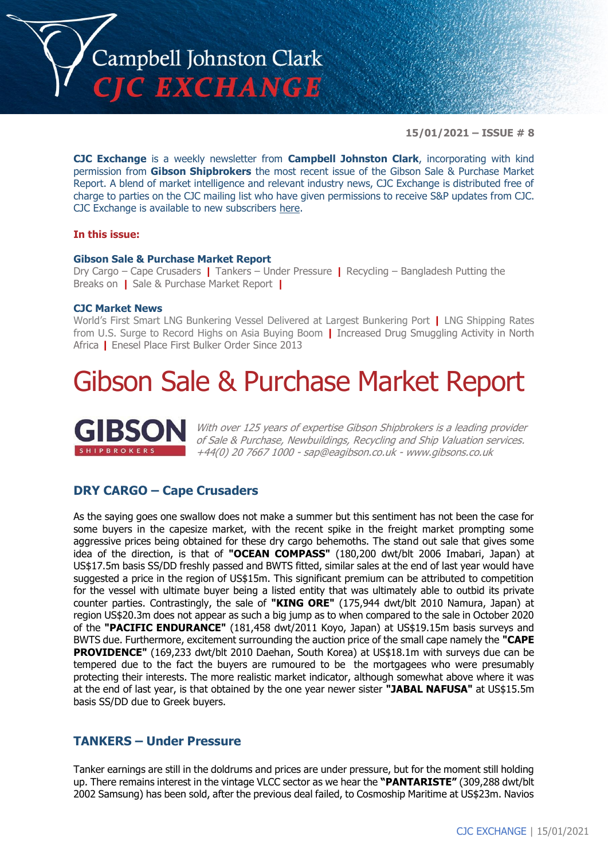

**15/01/2021 – ISSUE # 8**

**CJC Exchange** is a weekly newsletter from **Campbell Johnston Clark**, incorporating with kind permission from **Gibson Shipbrokers** the most recent issue of the Gibson Sale & Purchase Market Report. A blend of market intelligence and relevant industry news, CJC Exchange is distributed free of charge to parties on the CJC mailing list who have given permissions to receive S&P updates from CJC. CJC Exchange is available to new subscribers [here.](mailto:jamesc@cjclaw.com?subject=CJC%20Exchange%20sign-up)

#### **In this issue:**

#### **Gibson Sale & Purchase Market Report**

Dry Cargo – Cape Crusaders **|** Tankers – Under Pressure **|** Recycling – Bangladesh Putting the Breaks on **|** Sale & Purchase Market Report **|**

### **CJC Market News**

World's First Smart LNG Bunkering Vessel Delivered at Largest Bunkering Port **|** LNG Shipping Rates from U.S. Surge to Record Highs on Asia Buying Boom **|** Increased Drug Smuggling Activity in North Africa **|** Enesel Place First Bulker Order Since 2013

# Gibson Sale & Purchase Market Report



With over 125 years of expertise Gibson Shipbrokers is a leading provider of Sale & Purchase, Newbuildings, Recycling and Ship Valuation services. +44(0) 20 7667 1000 - [sap@eagibson.co.uk](mailto:sap@eagibson.co.uk) - [www.gibsons.co.uk](https://protect-eu.mimecast.com/s/VO6nCGZzRS60KqcK1jQh/)

### **DRY CARGO – Cape Crusaders**

As the saying goes one swallow does not make a summer but this sentiment has not been the case for some buyers in the capesize market, with the recent spike in the freight market prompting some aggressive prices being obtained for these dry cargo behemoths. The stand out sale that gives some idea of the direction, is that of **"OCEAN COMPASS"** (180,200 dwt/blt 2006 Imabari, Japan) at US\$17.5m basis SS/DD freshly passed and BWTS fitted, similar sales at the end of last year would have suggested a price in the region of US\$15m. This significant premium can be attributed to competition for the vessel with ultimate buyer being a listed entity that was ultimately able to outbid its private counter parties. Contrastingly, the sale of **"KING ORE"** (175,944 dwt/blt 2010 Namura, Japan) at region US\$20.3m does not appear as such a big jump as to when compared to the sale in October 2020 of the **"PACIFIC ENDURANCE"** (181,458 dwt/2011 Koyo, Japan) at US\$19.15m basis surveys and BWTS due. Furthermore, excitement surrounding the auction price of the small cape namely the **"CAPE PROVIDENCE"** (169,233 dwt/blt 2010 Daehan, South Korea) at US\$18.1m with surveys due can be tempered due to the fact the buyers are rumoured to be the mortgagees who were presumably protecting their interests. The more realistic market indicator, although somewhat above where it was at the end of last year, is that obtained by the one year newer sister **"JABAL NAFUSA"** at US\$15.5m basis SS/DD due to Greek buyers.

### **TANKERS – Under Pressure**

Tanker earnings are still in the doldrums and prices are under pressure, but for the moment still holding up. There remains interest in the vintage VLCC sector as we hear the **"PANTARISTE"** (309,288 dwt/blt 2002 Samsung) has been sold, after the previous deal failed, to Cosmoship Maritime at US\$23m. Navios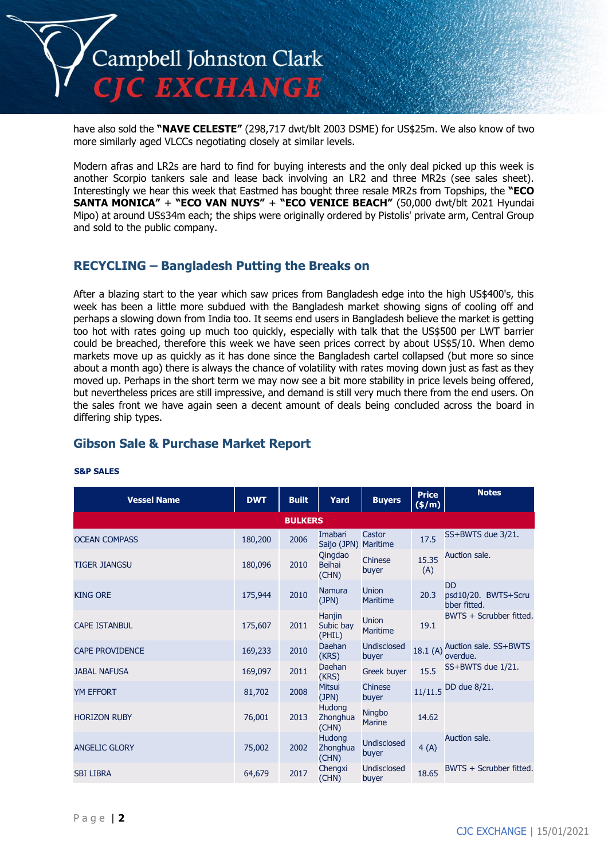

have also sold the **"NAVE CELESTE"** (298,717 dwt/blt 2003 DSME) for US\$25m. We also know of two more similarly aged VLCCs negotiating closely at similar levels.

Modern afras and LR2s are hard to find for buying interests and the only deal picked up this week is another Scorpio tankers sale and lease back involving an LR2 and three MR2s (see sales sheet). Interestingly we hear this week that Eastmed has bought three resale MR2s from Topships, the **"ECO SANTA MONICA"** + **"ECO VAN NUYS"** + **"ECO VENICE BEACH"** (50,000 dwt/blt 2021 Hyundai Mipo) at around US\$34m each; the ships were originally ordered by Pistolis' private arm, Central Group and sold to the public company.

### **RECYCLING – Bangladesh Putting the Breaks on**

After a blazing start to the year which saw prices from Bangladesh edge into the high US\$400's, this week has been a little more subdued with the Bangladesh market showing signs of cooling off and perhaps a slowing down from India too. It seems end users in Bangladesh believe the market is getting too hot with rates going up much too quickly, especially with talk that the US\$500 per LWT barrier could be breached, therefore this week we have seen prices correct by about US\$5/10. When demo markets move up as quickly as it has done since the Bangladesh cartel collapsed (but more so since about a month ago) there is always the chance of volatility with rates moving down just as fast as they moved up. Perhaps in the short term we may now see a bit more stability in price levels being offered, but nevertheless prices are still impressive, and demand is still very much there from the end users. On the sales front we have again seen a decent amount of deals being concluded across the board in differing ship types.

# **Gibson Sale & Purchase Market Report**

| <b>Vessel Name</b>     | <b>DWT</b> | <b>Built</b> | Yard                                   | <b>Buyers</b>                   | <b>Price</b><br>(\$/m) | <b>Notes</b>                                     |  |  |
|------------------------|------------|--------------|----------------------------------------|---------------------------------|------------------------|--------------------------------------------------|--|--|
| <b>BULKERS</b>         |            |              |                                        |                                 |                        |                                                  |  |  |
| <b>OCEAN COMPASS</b>   | 180,200    | 2006         | <b>Imabari</b><br>Saijo (JPN) Maritime | Castor                          | 17.5                   | SS+BWTS due 3/21.                                |  |  |
| <b>TIGER JIANGSU</b>   | 180,096    | 2010         | Qingdao<br><b>Beihai</b><br>(CHN)      | Chinese<br>buyer                | 15.35<br>(A)           | Auction sale.                                    |  |  |
| <b>KING ORE</b>        | 175,944    | 2010         | <b>Namura</b><br>(JPN)                 | <b>Union</b><br><b>Maritime</b> | 20.3                   | <b>DD</b><br>psd10/20. BWTS+Scru<br>bber fitted. |  |  |
| <b>CAPE ISTANBUL</b>   | 175,607    | 2011         | Hanjin<br>Subic bay<br>(PHIL)          | <b>Union</b><br><b>Maritime</b> | 19.1                   | BWTS + Scrubber fitted.                          |  |  |
| <b>CAPE PROVIDENCE</b> | 169,233    | 2010         | <b>Daehan</b><br>(KRS)                 | <b>Undisclosed</b><br>buyer     | 18.1(A)                | Auction sale. SS+BWTS<br>overdue.                |  |  |
| <b>JABAL NAFUSA</b>    | 169,097    | 2011         | Daehan<br>(KRS)                        | Greek buyer                     | 15.5                   | SS+BWTS due 1/21.                                |  |  |
| <b>YM EFFORT</b>       | 81,702     | 2008         | <b>Mitsui</b><br>(JPN)                 | Chinese<br>buyer                |                        | 11/11.5 DD due 8/21.                             |  |  |
| <b>HORIZON RUBY</b>    | 76,001     | 2013         | <b>Hudong</b><br>Zhonghua<br>(CHN)     | Ningbo<br><b>Marine</b>         | 14.62                  |                                                  |  |  |
| <b>ANGELIC GLORY</b>   | 75,002     | 2002         | <b>Hudong</b><br>Zhonghua<br>(CHN)     | <b>Undisclosed</b><br>buyer     | 4(A)                   | Auction sale.                                    |  |  |
| <b>SBI LIBRA</b>       | 64,679     | 2017         | Chengxi<br>(CHN)                       | Undisclosed<br>buyer            | 18.65                  | BWTS + Scrubber fitted.                          |  |  |

#### **S&P SALES**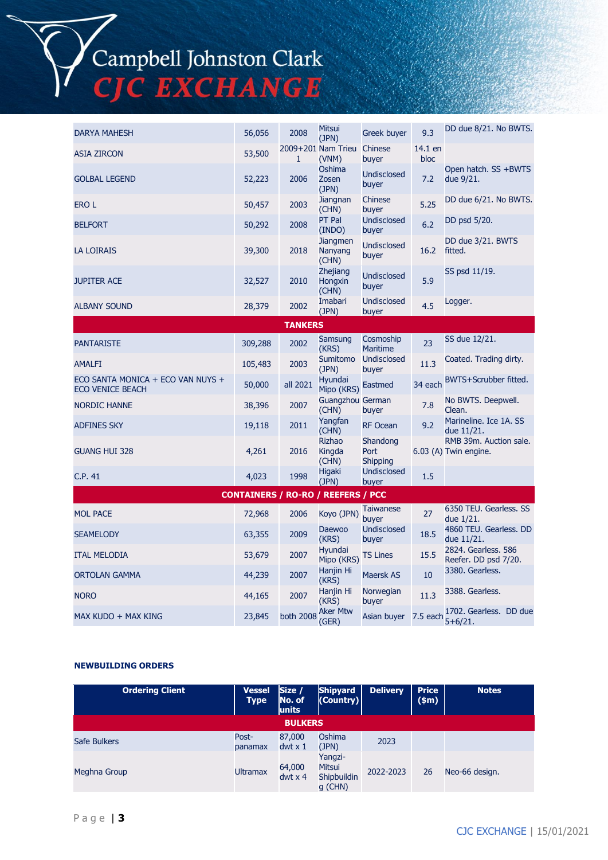# Campbell Johnston Clark<br>CJC EXCHANGE

| <b>DARYA MAHESH</b>                                          | 56,056  | 2008               | <b>Mitsui</b><br>(JPN)              | Greek buyer                  | 9.3             | DD due 8/21. No BWTS.                           |  |  |
|--------------------------------------------------------------|---------|--------------------|-------------------------------------|------------------------------|-----------------|-------------------------------------------------|--|--|
| <b>ASIA ZIRCON</b>                                           | 53,500  | 1                  | 2009+201 Nam Trieu<br>(VNM)         | Chinese<br>buyer             | 14.1 en<br>bloc |                                                 |  |  |
| <b>GOLBAL LEGEND</b>                                         | 52,223  | 2006               | Oshima<br>Zosen<br>(JPN)            | <b>Undisclosed</b><br>buyer  | 7.2             | Open hatch. SS +BWTS<br>due 9/21.               |  |  |
| <b>EROL</b>                                                  | 50,457  | 2003               | Jiangnan<br>(CHN)                   | Chinese<br>buyer             | 5.25            | DD due 6/21. No BWTS.                           |  |  |
| <b>BELFORT</b>                                               | 50,292  | 2008               | PT Pal<br>(INDO)                    | Undisclosed<br>buyer         | 6.2             | DD psd 5/20.                                    |  |  |
| <b>LA LOIRAIS</b>                                            | 39,300  | 2018               | <b>Jiangmen</b><br>Nanyang<br>(CHN) | <b>Undisclosed</b><br>buyer  | 16.2            | DD due 3/21. BWTS<br>fitted.                    |  |  |
| <b>JUPITER ACE</b>                                           | 32,527  | 2010               | Zhejiang<br>Hongxin<br>(CHN)        | <b>Undisclosed</b><br>buyer  | 5.9             | SS psd 11/19.                                   |  |  |
| <b>ALBANY SOUND</b>                                          | 28,379  | 2002               | Imabari<br>(JPN)                    | <b>Undisclosed</b><br>buyer  | 4.5             | Logger.                                         |  |  |
|                                                              |         | <b>TANKERS</b>     |                                     |                              |                 |                                                 |  |  |
| <b>PANTARISTE</b>                                            | 309,288 | 2002               | Samsung<br>(KRS)                    | Cosmoship<br><b>Maritime</b> | 23              | SS due 12/21.                                   |  |  |
| <b>AMALFI</b>                                                | 105,483 | 2003               | Sumitomo<br>(JPN)                   | <b>Undisclosed</b><br>buyer  | 11.3            | Coated. Trading dirty.                          |  |  |
| ECO SANTA MONICA + ECO VAN NUYS +<br><b>ECO VENICE BEACH</b> | 50,000  | all 2021           | Hyundai<br>Mipo (KRS)               | <b>Eastmed</b>               | 34 each         | BWTS+Scrubber fitted.                           |  |  |
| <b>NORDIC HANNE</b>                                          | 38,396  | 2007               | Guangzhou German<br>(CHN)           | buyer                        | 7.8             | No BWTS. Deepwell.<br>Clean.                    |  |  |
| <b>ADFINES SKY</b>                                           | 19,118  | 2011               | Yangfan<br>(CHN)                    | <b>RF Ocean</b>              | 9.2             | Marineline. Ice 1A. SS<br>due 11/21.            |  |  |
| <b>GUANG HUI 328</b>                                         | 4,261   | 2016               | <b>Rizhao</b><br>Kingda<br>(CHN)    | Shandong<br>Port<br>Shipping |                 | RMB 39m. Auction sale.<br>6.03 (A) Twin engine. |  |  |
| C.P. 41                                                      | 4,023   | 1998               | <b>Higaki</b><br>(JPN)              | Undisclosed<br>buyer         | 1.5             |                                                 |  |  |
| <b>CONTAINERS / RO-RO / REEFERS / PCC</b>                    |         |                    |                                     |                              |                 |                                                 |  |  |
| <b>MOL PACE</b>                                              | 72,968  | 2006               | Koyo (JPN)                          | <b>Taiwanese</b><br>buyer    | 27              | 6350 TEU. Gearless. SS<br>due 1/21.             |  |  |
| <b>SEAMELODY</b>                                             | 63,355  | 2009               | <b>Daewoo</b><br>(KRS)              | <b>Undisclosed</b><br>buyer  | 18.5            | 4860 TEU. Gearless. DD<br>due 11/21.            |  |  |
| <b>ITAL MELODIA</b>                                          | 53,679  | 2007               | Hyundai<br>Mipo (KRS)               | <b>TS Lines</b>              | 15.5            | 2824. Gearless. 586<br>Reefer. DD psd 7/20.     |  |  |
| ORTOLAN GAMMA                                                | 44,239  | 2007               | Hanjin Hi<br>(KRS)                  | Maersk AS                    | 10              | 3380. Gearless.                                 |  |  |
| <b>NORO</b>                                                  | 44,165  | 2007               | Hanjin Hi<br>(KRS)                  | Norwegian<br>buyer           | 11.3            | 3388. Gearless.                                 |  |  |
| MAX KUDO + MAX KING                                          | 23,845  | both 2008 Aker Mtw | (GER)                               | Asian buyer                  | 7.5 each        | 1702. Gearless. DD due<br>$5 + 6/21.$           |  |  |

### **NEWBUILDING ORDERS**

| <b>Ordering Client</b> | <b>Vessel</b><br><b>Type</b> | Size /<br>No. of<br>units | <b>Shipyard</b><br>(Country)                | <b>Delivery</b> | <b>Price</b><br>\$m\$ | <b>Notes</b>   |
|------------------------|------------------------------|---------------------------|---------------------------------------------|-----------------|-----------------------|----------------|
|                        |                              | <b>BULKERS</b>            |                                             |                 |                       |                |
| Safe Bulkers           | Post-<br>panamax             | 87,000<br>$dwt \times 1$  | Oshima<br>(JPN)                             | 2023            |                       |                |
| Meghna Group           | <b>Ultramax</b>              | 64,000<br>$dwt \times 4$  | Yangzi-<br>Mitsui<br>Shipbuildin<br>g (CHN) | 2022-2023       | 26                    | Neo-66 design. |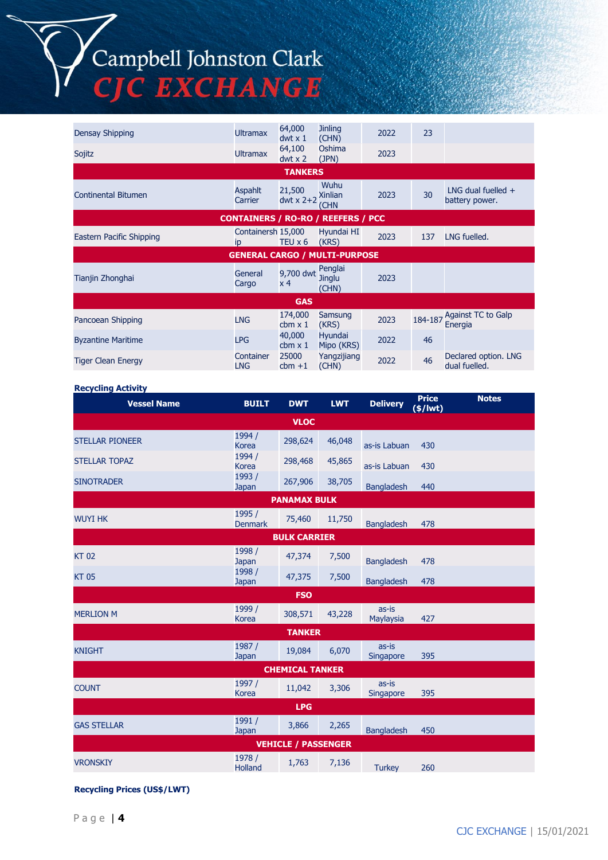# Campbell Johnston Clark C EXCHANGE

Densay Shipping Ultramax 64,000 dwt x 1 **Jinling**  $Jinling$  2022 23 Sojitz Ultramax 64,100 dwt x 2 Oshima  $(JPN)$  2023 **TANKERS Continental Bitumen** Aspahlt **Carrier** 21,500  $dwt \times 2+2$  Xinlian Wuhu (CHN  $2023$   $30$  LNG dual fuelled + battery power. **CONTAINERS / RO-RO / REEFERS / PCC** Eastern Pacific Shipping ip Containersh 15,000 TEU  $x 6$  (KRS) Hyundai HI 2023 137 LNG fuelled. **GENERAL CARGO / MULTI-PURPOSE** Tianjin Zhonghai General General **Cargo**  $9,700$  dwt Penglai x 4 Jinglu (CHN) 2023 **GAS** Pancoean Shipping LNG 174,000  $cbm \times 1$ Samsung<br>(KRS) 2023  $184-187$  Against TC to Galp Energia Byzantine Maritime **Example 2018** LPG 40,000 cbm x 1 Hyundai Hyundai<br>Mipo (KRS) 2022 46 Tiger Clean Energy Container LNG 25000  $cbm +1$ Yangzijiang Yangzijiang 2022 46 Declared option. LNG<br>(CHN) 2022 46 dual fuelled. dual fuelled.

#### **Recycling Activity**

| <b>Vessel Name</b>         | <b>BUILT</b>             | <b>DWT</b>          | <b>LWT</b> | <b>Delivery</b>    | <b>Price</b><br>$($/$ lwt $)$ | <b>Notes</b> |  |  |
|----------------------------|--------------------------|---------------------|------------|--------------------|-------------------------------|--------------|--|--|
| <b>VLOC</b>                |                          |                     |            |                    |                               |              |  |  |
| <b>STELLAR PIONEER</b>     | 1994 /<br><b>Korea</b>   | 298,624             | 46,048     | as-is Labuan       | 430                           |              |  |  |
| <b>STELLAR TOPAZ</b>       | 1994 /<br><b>Korea</b>   | 298,468             | 45,865     | as-is Labuan       | 430                           |              |  |  |
| <b>SINOTRADER</b>          | 1993 /<br>Japan          | 267,906             | 38,705     | <b>Bangladesh</b>  | 440                           |              |  |  |
|                            |                          | <b>PANAMAX BULK</b> |            |                    |                               |              |  |  |
| <b>WUYI HK</b>             | 1995 /<br><b>Denmark</b> | 75,460              | 11,750     | <b>Bangladesh</b>  | 478                           |              |  |  |
|                            |                          | <b>BULK CARRIER</b> |            |                    |                               |              |  |  |
| <b>KT02</b>                | 1998 /<br>Japan          | 47,374              | 7,500      | <b>Bangladesh</b>  | 478                           |              |  |  |
| <b>KT05</b>                | 1998 /<br>Japan          | 47,375              | 7,500      | <b>Bangladesh</b>  | 478                           |              |  |  |
| <b>FSO</b>                 |                          |                     |            |                    |                               |              |  |  |
| <b>MERLION M</b>           | 1999 /<br><b>Korea</b>   | 308,571             | 43,228     | as-is<br>Maylaysia | 427                           |              |  |  |
| <b>TANKER</b>              |                          |                     |            |                    |                               |              |  |  |
| <b>KNIGHT</b>              | 1987 /<br>Japan          | 19,084              | 6,070      | as-is<br>Singapore | 395                           |              |  |  |
| <b>CHEMICAL TANKER</b>     |                          |                     |            |                    |                               |              |  |  |
| <b>COUNT</b>               | 1997 /<br><b>Korea</b>   | 11,042              | 3,306      | as-is<br>Singapore | 395                           |              |  |  |
| <b>LPG</b>                 |                          |                     |            |                    |                               |              |  |  |
| <b>GAS STELLAR</b>         | 1991 /<br>Japan          | 3,866               | 2,265      | <b>Bangladesh</b>  | 450                           |              |  |  |
| <b>VEHICLE / PASSENGER</b> |                          |                     |            |                    |                               |              |  |  |
| <b>VRONSKIY</b>            | 1978 /<br><b>Holland</b> | 1,763               | 7,136      | <b>Turkey</b>      | 260                           |              |  |  |

### **Recycling Prices (US\$/LWT)**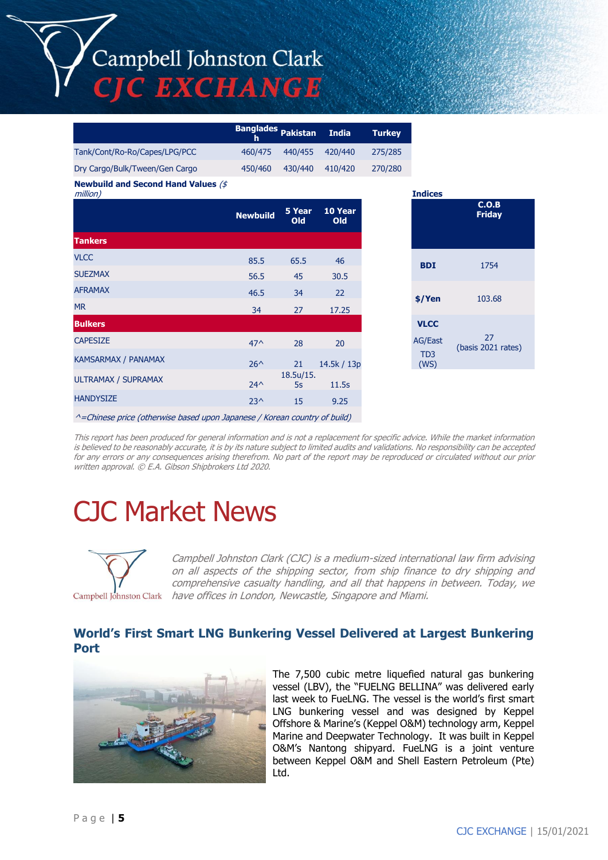# Campbell Johnston Clark **C EXCHANGE**

|                                | Banglades Pakistan India |         |         | <b>Turkey</b> |
|--------------------------------|--------------------------|---------|---------|---------------|
| Tank/Cont/Ro-Ro/Capes/LPG/PCC  | 460/475                  | 440/455 | 420/440 | 275/285       |
| Dry Cargo/Bulk/Tween/Gen Cargo | 450/460                  | 430/440 | 410/420 | 270/280       |

**Newbuild and Second Hand Values** (\$

| million)                   |                 |                    |                | <b>Indices</b>          |                        |
|----------------------------|-----------------|--------------------|----------------|-------------------------|------------------------|
|                            | <b>Newbuild</b> | 5 Year<br>Old      | 10 Year<br>Old |                         | C.O.B<br><b>Friday</b> |
| <b>Tankers</b>             |                 |                    |                |                         |                        |
| <b>VLCC</b>                | 85.5            | 65.5               | 46             | <b>BDI</b>              | 1754                   |
| <b>SUEZMAX</b>             | 56.5            | 45                 | 30.5           |                         |                        |
| <b>AFRAMAX</b>             | 46.5            | 34                 | 22             | \$/Yen                  | 103.68                 |
| <b>MR</b>                  | 34              | 27                 | 17.25          |                         |                        |
| <b>Bulkers</b>             |                 |                    |                | <b>VLCC</b>             |                        |
| <b>CAPESIZE</b>            | $47^$           | 28                 | 20             | AG/East                 | (basis 2021            |
| <b>KAMSARMAX / PANAMAX</b> | $26^{\wedge}$   | 21                 | 14.5k / 13p    | TD <sub>3</sub><br>(WS) |                        |
| ULTRAMAX / SUPRAMAX        | $24^{\wedge}$   | 18.5 u / 15.<br>5s | 11.5s          |                         |                        |
| <b>HANDYSIZE</b>           | $23^$           | 15                 | 9.25           |                         |                        |
|                            |                 |                    |                |                         |                        |

| <b>Indices</b>                                            |                          |
|-----------------------------------------------------------|--------------------------|
|                                                           | C.O.B<br><b>Friday</b>   |
| <b>BDI</b>                                                | 1754                     |
| \$/Yen                                                    | 103.68                   |
| <b>VLCC</b><br><b>AG/East</b><br>T <sub>D</sub> 3<br>(WS) | 27<br>(basis 2021 rates) |

^=Chinese price (otherwise based upon Japanese / Korean country of build)

This report has been produced for general information and is not a replacement for specific advice. While the market information is believed to be reasonably accurate, it is by its nature subject to limited audits and validations. No responsibility can be accepted for any errors or any consequences arising therefrom. No part of the report may be reproduced or circulated without our prior written approval. © E.A. Gibson Shipbrokers Ltd 2020.

# CJC Market News



Campbell Johnston Clark (CJC) is a medium-sized international law firm advising on all aspects of the shipping sector, from ship finance to dry shipping and comprehensive casualty handling, and all that happens in between. Today, we have offices in London, Newcastle, Singapore and Miami.

## **World's First Smart LNG Bunkering Vessel Delivered at Largest Bunkering Port**



The 7,500 cubic metre liquefied natural gas bunkering vessel (LBV), the "FUELNG BELLINA" was delivered early last week to FueLNG. The vessel is the world's first smart LNG bunkering vessel and was designed by Keppel Offshore & Marine's (Keppel O&M) technology arm, Keppel Marine and Deepwater Technology. It was built in Keppel O&M's Nantong shipyard. FueLNG is a joint venture between Keppel O&M and Shell Eastern Petroleum (Pte) Ltd.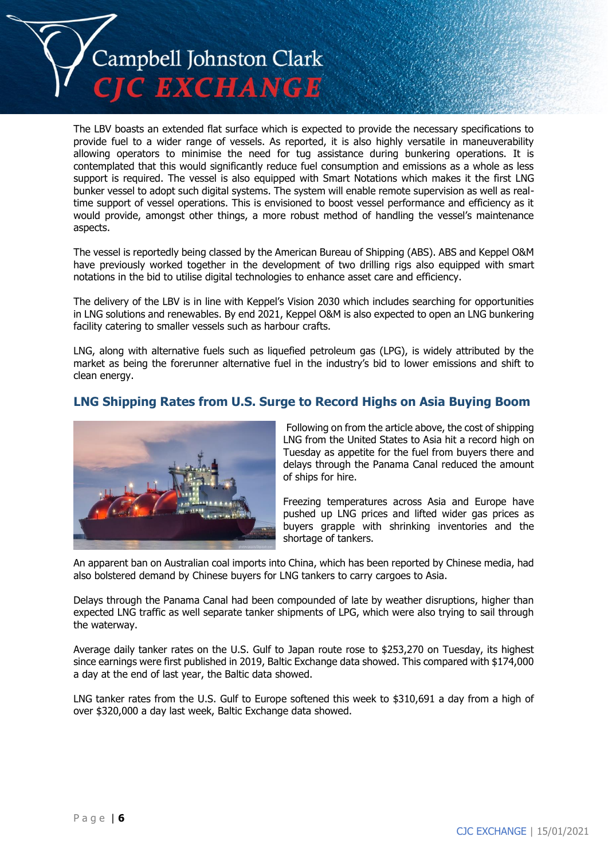

The LBV boasts an extended flat surface which is expected to provide the necessary specifications to provide fuel to a wider range of vessels. As reported, it is also highly versatile in maneuverability allowing operators to minimise the need for tug assistance during bunkering operations. It is contemplated that this would significantly reduce fuel consumption and emissions as a whole as less support is required. The vessel is also equipped with Smart Notations which makes it the first LNG bunker vessel to adopt such digital systems. The system will enable remote supervision as well as realtime support of vessel operations. This is envisioned to boost vessel performance and efficiency as it would provide, amongst other things, a more robust method of handling the vessel's maintenance aspects.

The vessel is reportedly being classed by the American Bureau of Shipping (ABS). ABS and Keppel O&M have previously worked together in the development of two drilling rigs also equipped with smart notations in the bid to utilise digital technologies to enhance asset care and efficiency.

The delivery of the LBV is in line with Keppel's Vision 2030 which includes searching for opportunities in LNG solutions and renewables. By end 2021, Keppel O&M is also expected to open an LNG bunkering facility catering to smaller vessels such as harbour crafts.

LNG, along with alternative fuels such as liquefied petroleum gas (LPG), is widely attributed by the market as being the forerunner alternative fuel in the industry's bid to lower emissions and shift to clean energy.

## **LNG Shipping Rates from U.S. Surge to Record Highs on Asia Buying Boom**



Following on from the article above, the cost of shipping LNG from the United States to Asia hit a record high on Tuesday as appetite for the fuel from buyers there and delays through the Panama Canal reduced the amount of ships for hire.

Freezing temperatures across Asia and Europe have pushed up LNG prices and lifted wider gas prices as buyers grapple with shrinking inventories and the shortage of tankers.

An apparent ban on Australian coal imports into China, which has been reported by Chinese media, had also bolstered demand by Chinese buyers for LNG tankers to carry cargoes to Asia.

Delays through the Panama Canal had been compounded of late by weather disruptions, higher than expected LNG traffic as well separate tanker shipments of LPG, which were also trying to sail through the waterway.

Average daily tanker rates on the U.S. Gulf to Japan route rose to \$253,270 on Tuesday, its highest since earnings were first published in 2019, Baltic Exchange data showed. This compared with \$174,000 a day at the end of last year, the Baltic data showed.

LNG tanker rates from the U.S. Gulf to Europe softened this week to \$310,691 a day from a high of over \$320,000 a day last week, Baltic Exchange data showed.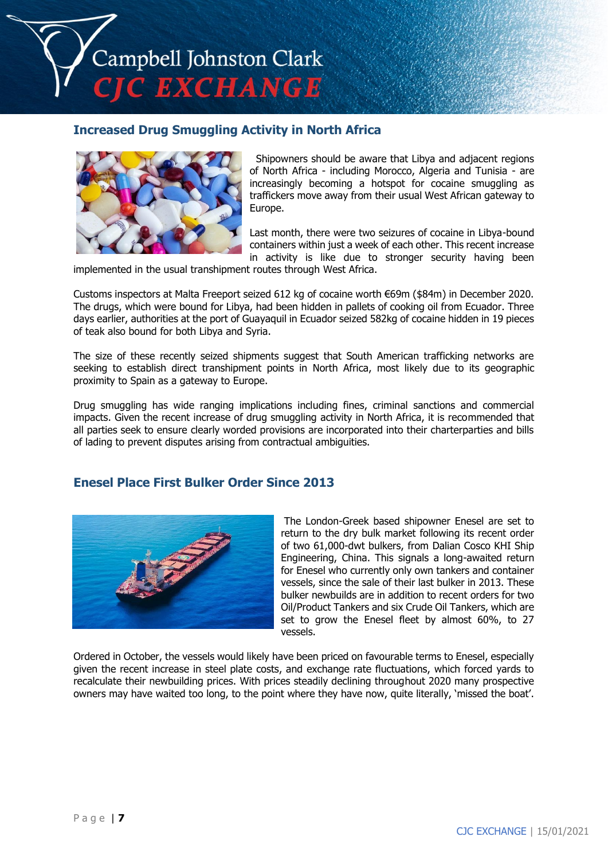

### **Increased Drug Smuggling Activity in North Africa**



Shipowners should be aware that Libya and adjacent regions of North Africa - including Morocco, Algeria and Tunisia - are increasingly becoming a hotspot for cocaine smuggling as traffickers move away from their usual West African gateway to Europe.

Last month, there were two seizures of cocaine in Libya-bound containers within just a week of each other. This recent increase in activity is like due to stronger security having been

implemented in the usual transhipment routes through West Africa.

Customs inspectors at Malta Freeport seized 612 kg of cocaine worth €69m (\$84m) in December 2020. The drugs, which were bound for Libya, had been hidden in pallets of cooking oil from Ecuador. Three days earlier, authorities at the port of Guayaquil in Ecuador seized 582kg of cocaine hidden in 19 pieces of teak also bound for both Libya and Syria.

The size of these recently seized shipments suggest that South American trafficking networks are seeking to establish direct transhipment points in North Africa, most likely due to its geographic proximity to Spain as a gateway to Europe.

Drug smuggling has wide ranging implications including fines, criminal sanctions and commercial impacts. Given the recent increase of drug smuggling activity in North Africa, it is recommended that all parties seek to ensure clearly worded provisions are incorporated into their charterparties and bills of lading to prevent disputes arising from contractual ambiguities.

### **Enesel Place First Bulker Order Since 2013**



The London-Greek based shipowner Enesel are set to return to the dry bulk market following its recent order of two 61,000-dwt bulkers, from Dalian Cosco KHI Ship Engineering, China. This signals a long-awaited return for Enesel who currently only own tankers and container vessels, since the sale of their last bulker in 2013. These bulker newbuilds are in addition to recent orders for two Oil/Product Tankers and six Crude Oil Tankers, which are set to grow the Enesel fleet by almost 60%, to 27 vessels.

Ordered in October, the vessels would likely have been priced on favourable terms to Enesel, especially given the recent increase in steel plate costs, and exchange rate fluctuations, which forced yards to recalculate their newbuilding prices. With prices steadily declining throughout 2020 many prospective owners may have waited too long, to the point where they have now, quite literally, 'missed the boat'.